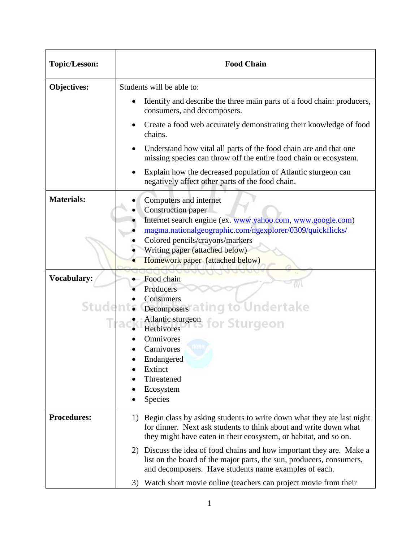| <b>Topic/Lesson:</b>  | <b>Food Chain</b>                                                                                                                                                                                                                                                               |  |
|-----------------------|---------------------------------------------------------------------------------------------------------------------------------------------------------------------------------------------------------------------------------------------------------------------------------|--|
| <b>Objectives:</b>    | Students will be able to:                                                                                                                                                                                                                                                       |  |
|                       | Identify and describe the three main parts of a food chain: producers,<br>consumers, and decomposers.                                                                                                                                                                           |  |
|                       | Create a food web accurately demonstrating their knowledge of food<br>chains.                                                                                                                                                                                                   |  |
|                       | Understand how vital all parts of the food chain are and that one<br>missing species can throw off the entire food chain or ecosystem.                                                                                                                                          |  |
|                       | Explain how the decreased population of Atlantic sturgeon can<br>negatively affect other parts of the food chain.                                                                                                                                                               |  |
| <b>Materials:</b>     | Computers and internet<br>Construction paper<br>Internet search engine (ex. www.yahoo.com, www.google.com)<br>magma.nationalgeographic.com/ngexplorer/0309/quickflicks/<br>Colored pencils/crayons/markers<br>Writing paper (attached below)<br>Homework paper (attached below) |  |
| Vocabulary:<br>Studer | Food chain<br>Producers<br>Consumers<br>Decomposers ating to Undertake<br>Atlantic sturgeon for Sturgeon<br>Herbivores<br>Omnivores<br>Carnivores<br>Endangered<br>Extinct<br>Threatened<br>Ecosystem<br>Species                                                                |  |
| <b>Procedures:</b>    | Begin class by asking students to write down what they ate last night<br>1)<br>for dinner. Next ask students to think about and write down what<br>they might have eaten in their ecosystem, or habitat, and so on.                                                             |  |
|                       | Discuss the idea of food chains and how important they are. Make a<br>2)<br>list on the board of the major parts, the sun, producers, consumers,<br>and decomposers. Have students name examples of each.                                                                       |  |
|                       | Watch short movie online (teachers can project movie from their<br>3)                                                                                                                                                                                                           |  |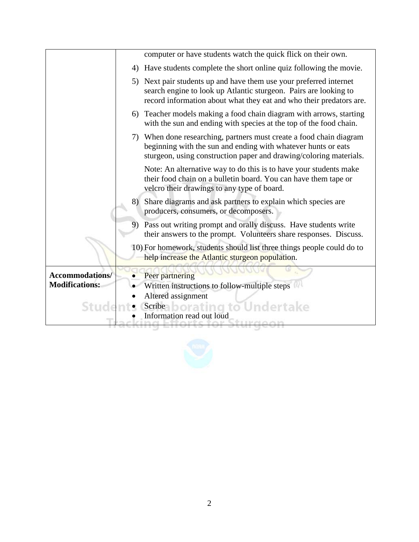|                       |    | computer or have students watch the quick flick on their own.                                                                                                                                              |
|-----------------------|----|------------------------------------------------------------------------------------------------------------------------------------------------------------------------------------------------------------|
|                       | 4) | Have students complete the short online quiz following the movie.                                                                                                                                          |
|                       | 5) | Next pair students up and have them use your preferred internet<br>search engine to look up Atlantic sturgeon. Pairs are looking to<br>record information about what they eat and who their predators are. |
|                       | 6) | Teacher models making a food chain diagram with arrows, starting<br>with the sun and ending with species at the top of the food chain.                                                                     |
|                       |    | 7) When done researching, partners must create a food chain diagram<br>beginning with the sun and ending with whatever hunts or eats<br>sturgeon, using construction paper and drawing/coloring materials. |
|                       |    | Note: An alternative way to do this is to have your students make<br>their food chain on a bulletin board. You can have them tape or<br>velcro their drawings to any type of board.                        |
|                       | 8) | Share diagrams and ask partners to explain which species are<br>producers, consumers, or decomposers.                                                                                                      |
|                       | 9) | Pass out writing prompt and orally discuss. Have students write<br>their answers to the prompt. Volunteers share responses. Discuss.                                                                       |
|                       |    | 10) For homework, students should list three things people could do to<br>help increase the Atlantic sturgeon population.                                                                                  |
| Accommodations/       |    | Peer partnering                                                                                                                                                                                            |
| <b>Modifications:</b> |    | Written instructions to follow-multiple steps                                                                                                                                                              |
|                       |    | Altered assignment                                                                                                                                                                                         |
| Studer                |    | Scribe borating to Undertake                                                                                                                                                                               |
|                       |    | Information read out loud                                                                                                                                                                                  |

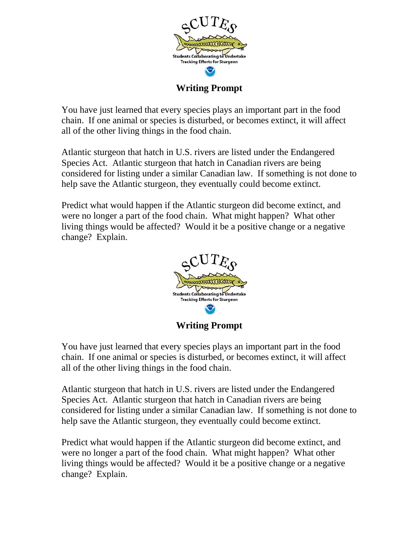

**Writing Prompt**

You have just learned that every species plays an important part in the food chain. If one animal or species is disturbed, or becomes extinct, it will affect all of the other living things in the food chain.

Atlantic sturgeon that hatch in U.S. rivers are listed under the Endangered Species Act. Atlantic sturgeon that hatch in Canadian rivers are being considered for listing under a similar Canadian law. If something is not done to help save the Atlantic sturgeon, they eventually could become extinct.

Predict what would happen if the Atlantic sturgeon did become extinct, and were no longer a part of the food chain. What might happen? What other living things would be affected? Would it be a positive change or a negative change? Explain.



**Writing Prompt**

You have just learned that every species plays an important part in the food chain. If one animal or species is disturbed, or becomes extinct, it will affect all of the other living things in the food chain.

Atlantic sturgeon that hatch in U.S. rivers are listed under the Endangered Species Act. Atlantic sturgeon that hatch in Canadian rivers are being considered for listing under a similar Canadian law. If something is not done to help save the Atlantic sturgeon, they eventually could become extinct.

Predict what would happen if the Atlantic sturgeon did become extinct, and were no longer a part of the food chain. What might happen? What other living things would be affected? Would it be a positive change or a negative change? Explain.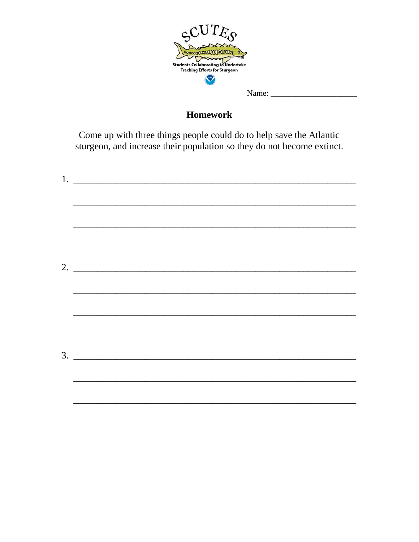

## **Homework**

Come up with three things people could do to help save the Atlantic sturgeon, and increase their population so they do not become extinct.